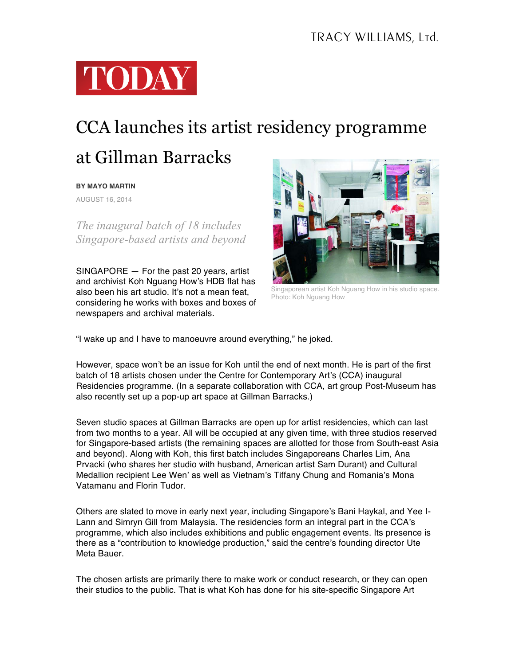

## CCA launches its artist residency programme

## at Gillman Barracks

## **BY MAYO MARTIN**

AUGUST 16, 2014

*The inaugural batch of 18 includes Singapore-based artists and beyond*

SINGAPORE — For the past 20 years, artist and archivist Koh Nguang How's HDB flat has also been his art studio. It's not a mean feat, considering he works with boxes and boxes of newspapers and archival materials.



Singaporean artist Koh Nguang How in his studio space. Photo: Koh Nguang How

"I wake up and I have to manoeuvre around everything," he joked.

However, space won't be an issue for Koh until the end of next month. He is part of the first batch of 18 artists chosen under the Centre for Contemporary Art's (CCA) inaugural Residencies programme. (In a separate collaboration with CCA, art group Post-Museum has also recently set up a pop-up art space at Gillman Barracks.)

Seven studio spaces at Gillman Barracks are open up for artist residencies, which can last from two months to a year. All will be occupied at any given time, with three studios reserved for Singapore-based artists (the remaining spaces are allotted for those from South-east Asia and beyond). Along with Koh, this first batch includes Singaporeans Charles Lim, Ana Prvacki (who shares her studio with husband, American artist Sam Durant) and Cultural Medallion recipient Lee Wen' as well as Vietnam's Tiffany Chung and Romania's Mona Vatamanu and Florin Tudor.

Others are slated to move in early next year, including Singapore's Bani Haykal, and Yee I-Lann and Simryn Gill from Malaysia. The residencies form an integral part in the CCA's programme, which also includes exhibitions and public engagement events. Its presence is there as a "contribution to knowledge production," said the centre's founding director Ute Meta Bauer.

The chosen artists are primarily there to make work or conduct research, or they can open their studios to the public. That is what Koh has done for his site-specific Singapore Art